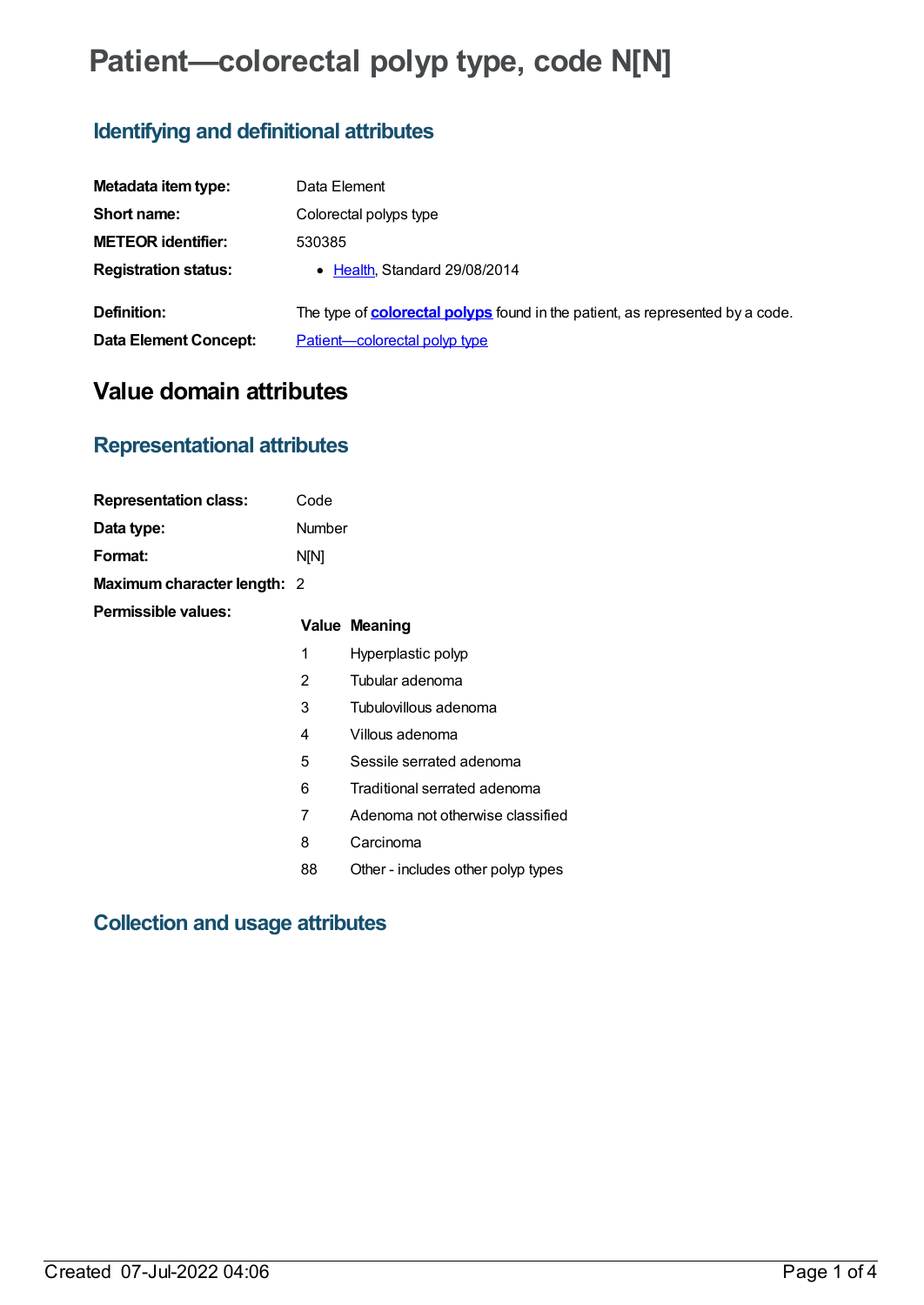# **Patient—colorectal polyp type, code N[N]**

## **Identifying and definitional attributes**

| Metadata item type:         | Data Element                                                                         |
|-----------------------------|--------------------------------------------------------------------------------------|
| Short name:                 | Colorectal polyps type                                                               |
| <b>METEOR identifier:</b>   | 530385                                                                               |
| <b>Registration status:</b> | • Health, Standard 29/08/2014                                                        |
| Definition:                 | The type of <b>colorectal polyps</b> found in the patient, as represented by a code. |
| Data Element Concept:       | Patient-colorectal polyp type                                                        |

## **Value domain attributes**

## **Representational attributes**

| <b>Representation class:</b>       | Code          |                                    |
|------------------------------------|---------------|------------------------------------|
| Data type:                         | <b>Number</b> |                                    |
| Format:                            | N[N]          |                                    |
| <b>Maximum character length: 2</b> |               |                                    |
| Permissible values:                |               | Value Meaning                      |
|                                    | 1             | Hyperplastic polyp                 |
|                                    | 2             | Tubular adenoma                    |
|                                    | 3             | Tubulovillous adenoma              |
|                                    | 4             | Villous adenoma                    |
|                                    | 5             | Sessile serrated adenoma           |
|                                    | 6             | Traditional serrated adenoma       |
|                                    | 7             | Adenoma not otherwise classified   |
|                                    | 8             | Carcinoma                          |
|                                    | 88            | Other - includes other polyp types |

## **Collection and usage attributes**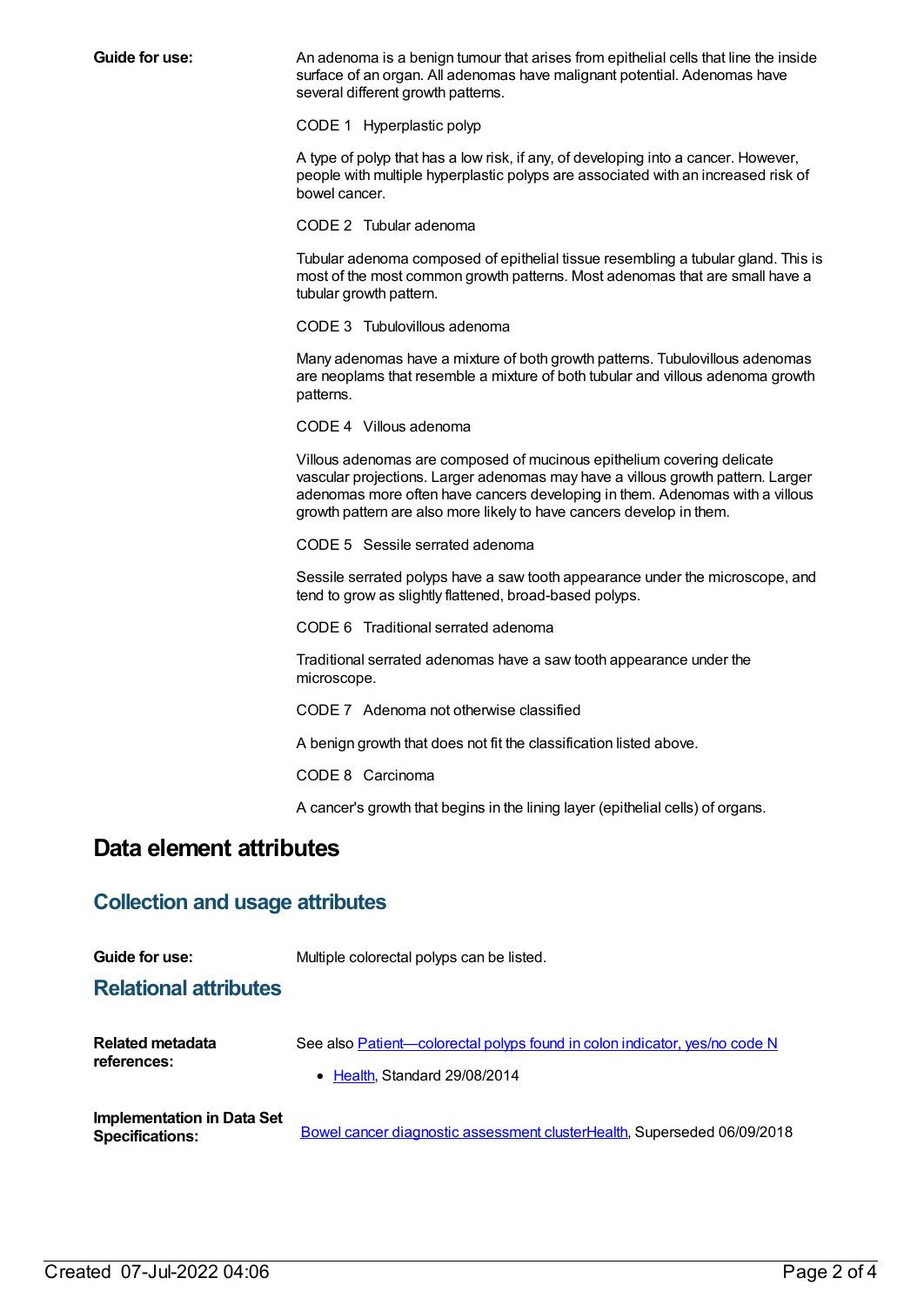**Guide for use:** An adenoma is a benign tumour that arises from epithelial cells that line the inside surface of an organ. All adenomas have malignant potential. Adenomas have several different growth patterns.

CODE 1 Hyperplastic polyp

A type of polyp that has a low risk, if any, of developing into a cancer. However, people with multiple hyperplastic polyps are associated with an increased risk of bowel cancer.

CODE 2 Tubular adenoma

Tubular adenoma composed of epithelial tissue resembling a tubular gland. This is most of the most common growth patterns. Most adenomas that are small have a tubular growth pattern.

CODE 3 Tubulovillous adenoma

Many adenomas have a mixture of both growth patterns. Tubulovillous adenomas are neoplams that resemble a mixture of both tubular and villous adenoma growth patterns.

CODE 4 Villous adenoma

Villous adenomas are composed of mucinous epithelium covering delicate vascular projections. Larger adenomas may have a villous growth pattern. Larger adenomas more often have cancers developing in them. Adenomas with a villous growth pattern are also more likely to have cancers develop in them.

CODE 5 Sessile serrated adenoma

Sessile serrated polyps have a saw tooth appearance under the microscope, and tend to grow as slightly flattened, broad-based polyps.

CODE 6 Traditional serrated adenoma

Traditional serrated adenomas have a saw tooth appearance under the microscope.

CODE 7 Adenoma not otherwise classified

A benign growth that does not fit the classification listed above.

CODE 8 Carcinoma

A cancer's growth that begins in the lining layer (epithelial cells) of organs.

## **Data element attributes**

### **Collection and usage attributes**

| Guide for use:                    | Multiple colorectal polyps can be listed.                                                                   |
|-----------------------------------|-------------------------------------------------------------------------------------------------------------|
| <b>Relational attributes</b>      |                                                                                                             |
| Related metadata<br>references:   | See also Patient—colorectal polyps found in colon indicator, yes/no code N<br>• Health, Standard 29/08/2014 |
| <b>Implementation in Data Set</b> |                                                                                                             |

**Specifications:** Bowel cancer diagnostic [assessment](https://meteor.aihw.gov.au/content/563761) cluste[rHealth](https://meteor.aihw.gov.au/RegistrationAuthority/12), Superseded 06/09/2018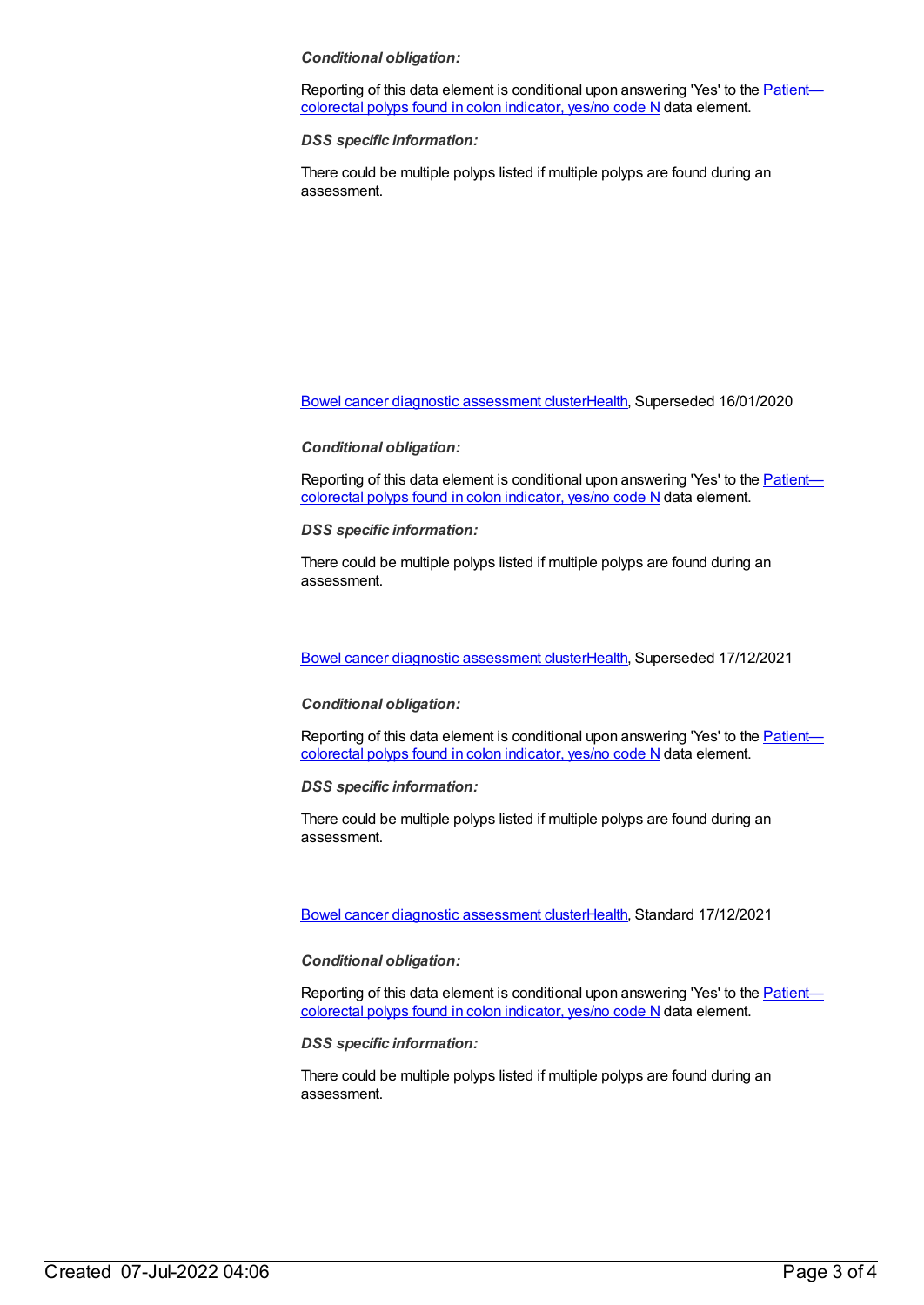### *Conditional obligation:*

Reporting of this data element is [conditional](file:///content/530230) upon answering 'Yes' to the **Patient** colorectal polyps found in colon indicator, yes/no code N data element.

*DSS specific information:*

There could be multiple polyps listed if multiple polyps are found during an assessment.

Bowel cancer diagnostic [assessment](https://meteor.aihw.gov.au/content/695220) cluste[rHealth](https://meteor.aihw.gov.au/RegistrationAuthority/12), Superseded 16/01/2020

#### *Conditional obligation:*

Reporting of this data element is [conditional](file:///content/530230) upon answering 'Yes' to the Patientcolorectal polyps found in colon indicator, yes/no code N data element.

*DSS specific information:*

There could be multiple polyps listed if multiple polyps are found during an assessment.

Bowel cancer diagnostic [assessment](https://meteor.aihw.gov.au/content/720198) cluste[rHealth](https://meteor.aihw.gov.au/RegistrationAuthority/12), Superseded 17/12/2021

#### *Conditional obligation:*

Reporting of this data element is [conditional](file:///content/530230) upon answering 'Yes' to the **Patient** colorectal polyps found in colon indicator, yes/no code N data element.

*DSS specific information:*

There could be multiple polyps listed if multiple polyps are found during an assessment.

Bowel cancer diagnostic [assessment](https://meteor.aihw.gov.au/content/750427) cluste[rHealth](https://meteor.aihw.gov.au/RegistrationAuthority/12), Standard 17/12/2021

### *Conditional obligation:*

Reporting of this data element is [conditional](file:///content/530230) upon answering 'Yes' to the Patient colorectal polyps found in colon indicator, yes/no code N data element.

*DSS specific information:*

There could be multiple polyps listed if multiple polyps are found during an assessment.